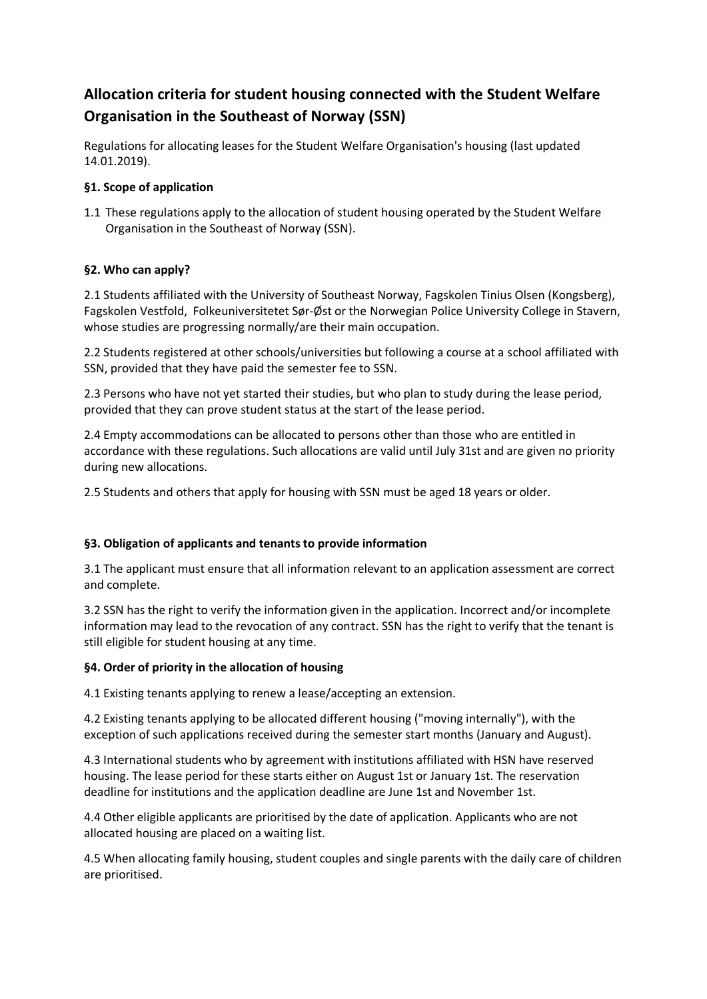# **Allocation criteria for student housing connected with the Student Welfare Organisation in the Southeast of Norway (SSN)**

Regulations for allocating leases for the Student Welfare Organisation's housing (last updated 14.01.2019).

## **§1. Scope of application**

1.1 These regulations apply to the allocation of student housing operated by the Student Welfare Organisation in the Southeast of Norway (SSN).

## **§2. Who can apply?**

2.1 Students affiliated with the University of Southeast Norway, Fagskolen Tinius Olsen (Kongsberg), Fagskolen Vestfold, Folkeuniversitetet Sør-Øst or the Norwegian Police University College in Stavern, whose studies are progressing normally/are their main occupation.

2.2 Students registered at other schools/universities but following a course at a school affiliated with SSN, provided that they have paid the semester fee to SSN.

2.3 Persons who have not yet started their studies, but who plan to study during the lease period, provided that they can prove student status at the start of the lease period.

2.4 Empty accommodations can be allocated to persons other than those who are entitled in accordance with these regulations. Such allocations are valid until July 31st and are given no priority during new allocations.

2.5 Students and others that apply for housing with SSN must be aged 18 years or older.

# **§3. Obligation of applicants and tenants to provide information**

3.1 The applicant must ensure that all information relevant to an application assessment are correct and complete.

3.2 SSN has the right to verify the information given in the application. Incorrect and/or incomplete information may lead to the revocation of any contract. SSN has the right to verify that the tenant is still eligible for student housing at any time.

#### **§4. Order of priority in the allocation of housing**

4.1 Existing tenants applying to renew a lease/accepting an extension.

4.2 Existing tenants applying to be allocated different housing ("moving internally"), with the exception of such applications received during the semester start months (January and August).

4.3 International students who by agreement with institutions affiliated with HSN have reserved housing. The lease period for these starts either on August 1st or January 1st. The reservation deadline for institutions and the application deadline are June 1st and November 1st.

4.4 Other eligible applicants are prioritised by the date of application. Applicants who are not allocated housing are placed on a waiting list.

4.5 When allocating family housing, student couples and single parents with the daily care of children are prioritised.